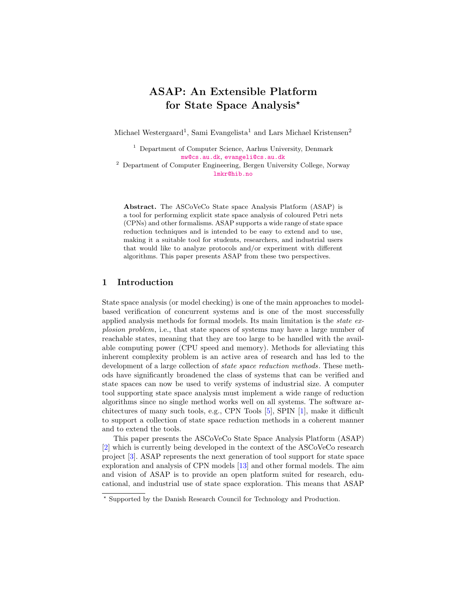# ASAP: An Extensible Platform for State Space Analysis<sup>\*</sup>

Michael Westergaard<sup>1</sup>, Sami Evangelista<sup>1</sup> and Lars Michael Kristensen<sup>2</sup>

<sup>1</sup> Department of Computer Science, Aarhus University, Denmark <mw@cs.au.dk>, <evangeli@cs.au.dk> <sup>2</sup> Department of Computer Engineering, Bergen University College, Norway

<lmkr@hib.no>

Abstract. The ASCoVeCo State space Analysis Platform (ASAP) is a tool for performing explicit state space analysis of coloured Petri nets (CPNs) and other formalisms. ASAP supports a wide range of state space reduction techniques and is intended to be easy to extend and to use, making it a suitable tool for students, researchers, and industrial users that would like to analyze protocols and/or experiment with different algorithms. This paper presents ASAP from these two perspectives.

## 1 Introduction

State space analysis (or model checking) is one of the main approaches to modelbased verification of concurrent systems and is one of the most successfully applied analysis methods for formal models. Its main limitation is the state explosion problem, i.e., that state spaces of systems may have a large number of reachable states, meaning that they are too large to be handled with the available computing power (CPU speed and memory). Methods for alleviating this inherent complexity problem is an active area of research and has led to the development of a large collection of *state space reduction methods*. These methods have significantly broadened the class of systems that can be verified and state spaces can now be used to verify systems of industrial size. A computer tool supporting state space analysis must implement a wide range of reduction algorithms since no single method works well on all systems. The software architectures of many such tools, e.g., CPN Tools [\[5\]](#page-9-0), SPIN [\[1\]](#page-9-1), make it difficult to support a collection of state space reduction methods in a coherent manner and to extend the tools.

This paper presents the ASCoVeCo State Space Analysis Platform (ASAP) [\[2\]](#page-9-2) which is currently being developed in the context of the ASCoVeCo research project [\[3\]](#page-9-3). ASAP represents the next generation of tool support for state space exploration and analysis of CPN models [\[13\]](#page-9-4) and other formal models. The aim and vision of ASAP is to provide an open platform suited for research, educational, and industrial use of state space exploration. This means that ASAP

<sup>?</sup> Supported by the Danish Research Council for Technology and Production.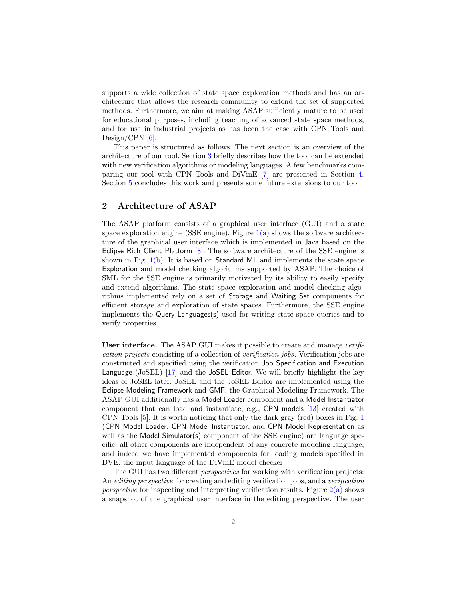supports a wide collection of state space exploration methods and has an architecture that allows the research community to extend the set of supported methods. Furthermore, we aim at making ASAP sufficiently mature to be used for educational purposes, including teaching of advanced state space methods, and for use in industrial projects as has been the case with CPN Tools and Design/CPN [\[6\]](#page-9-5).

This paper is structured as follows. The next section is an overview of the architecture of our tool. Section [3](#page-4-0) briefly describes how the tool can be extended with new verification algorithms or modeling languages. A few benchmarks comparing our tool with CPN Tools and DiVinE [\[7\]](#page-9-6) are presented in Section [4.](#page-7-0) Section [5](#page-8-0) concludes this work and presents some future extensions to our tool.

## 2 Architecture of ASAP

The ASAP platform consists of a graphical user interface (GUI) and a state space exploration engine (SSE engine). Figure  $1(a)$  shows the software architecture of the graphical user interface which is implemented in Java based on the Eclipse Rich Client Platform [\[8\]](#page-9-7). The software architecture of the SSE engine is shown in Fig.  $1(b)$ . It is based on Standard ML and implements the state space Exploration and model checking algorithms supported by ASAP. The choice of SML for the SSE engine is primarily motivated by its ability to easily specify and extend algorithms. The state space exploration and model checking algorithms implemented rely on a set of Storage and Waiting Set components for efficient storage and exploration of state spaces. Furthermore, the SSE engine implements the Query Languages(s) used for writing state space queries and to verify properties.

User interface. The ASAP GUI makes it possible to create and manage verification projects consisting of a collection of verification jobs. Verification jobs are constructed and specified using the verification Job Specification and Execution Language (JoSEL) [\[17\]](#page-9-8) and the JoSEL Editor. We will briefly highlight the key ideas of JoSEL later. JoSEL and the JoSEL Editor are implemented using the Eclipse Modeling Framework and GMF, the Graphical Modeling Framework. The ASAP GUI additionally has a Model Loader component and a Model Instantiator component that can load and instantiate, e.g., CPN models [\[13\]](#page-9-4) created with CPN Tools [\[5\]](#page-9-0). It is worth noticing that only the dark gray (red) boxes in Fig. [1](#page-2-2) (CPN Model Loader, CPN Model Instantiator, and CPN Model Representation as well as the Model Simulator(s) component of the SSE engine) are language specific; all other components are independent of any concrete modeling language, and indeed we have implemented components for loading models specified in DVE, the input language of the DiVinE model checker.

The GUI has two different perspectives for working with verification projects: An editing perspective for creating and editing verification jobs, and a verification *perspective* for inspecting and interpreting verification results. Figure  $2(a)$  shows a snapshot of the graphical user interface in the editing perspective. The user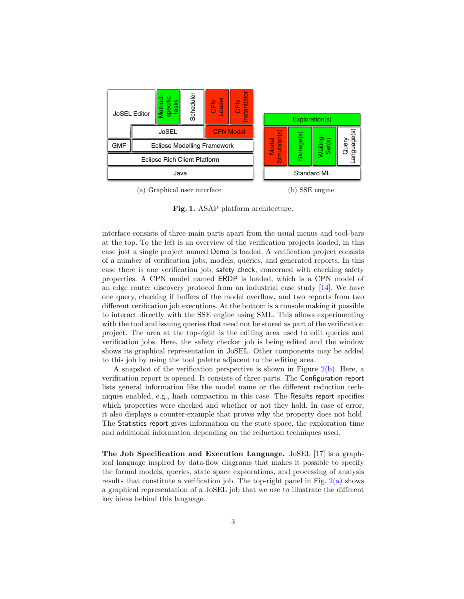<span id="page-2-0"></span>

<span id="page-2-2"></span><span id="page-2-1"></span>Fig. 1. ASAP platform architecture.

interface consists of three main parts apart from the usual menus and tool-bars at the top. To the left is an overview of the verification projects loaded, in this case just a single project named Demo is loaded. A verification project consists of a number of verification jobs, models, queries, and generated reports. In this case there is one verification job, safety check, concerned with checking safety properties. A CPN model named ERDP is loaded, which is a CPN model of an edge router discovery protocol from an industrial case study [\[14\]](#page-9-9). We have one query, checking if buffers of the model overflow, and two reports from two different verification job executions. At the bottom is a console making it possible to interact directly with the SSE engine using SML. This allows experimenting with the tool and issuing queries that need not be stored as part of the verification project. The area at the top-right is the editing area used to edit queries and verification jobs. Here, the safety checker job is being edited and the window shows its graphical representation in JoSEL. Other components may be added to this job by using the tool palette adjacent to the editing area.

A snapshot of the verification perspective is shown in Figure  $2(b)$ . Here, a verification report is opened. It consists of three parts. The Configuration report lists general information like the model name or the different reduction techniques enabled, e.g., hash compaction in this case. The Results report specifies which properties were checked and whether or not they hold. In case of error, it also displays a counter-example that proves why the property does not hold. The Statistics report gives information on the state space, the exploration time and additional information depending on the reduction techniques used.

The Job Specification and Execution Language. JoSEL [\[17\]](#page-9-8) is a graphical language inspired by data-flow diagrams that makes it possible to specify the formal models, queries, state space explorations, and processing of analysis results that constitute a verification job. The top-right panel in Fig.  $2(a)$  shows a graphical representation of a JoSEL job that we use to illustrate the different key ideas behind this language.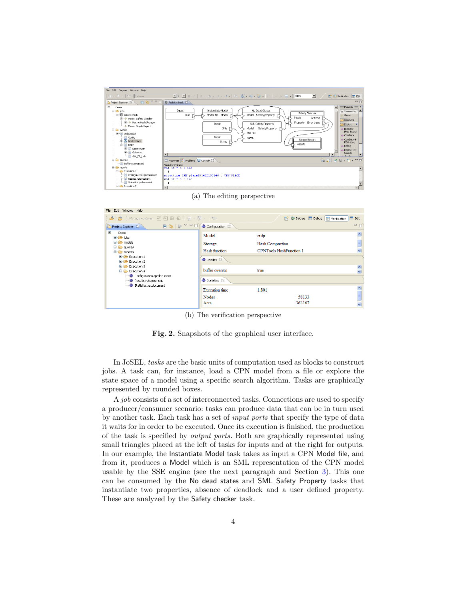<span id="page-3-0"></span>

| File Edit Diagram Window Help                                                                                                                                                                                                                                                                        |                                                                                                                                                                                                                                                                                                                                 |                                                                                                                                                                                                                                                        |
|------------------------------------------------------------------------------------------------------------------------------------------------------------------------------------------------------------------------------------------------------------------------------------------------------|---------------------------------------------------------------------------------------------------------------------------------------------------------------------------------------------------------------------------------------------------------------------------------------------------------------------------------|--------------------------------------------------------------------------------------------------------------------------------------------------------------------------------------------------------------------------------------------------------|
| タ × タ ×   モ   Tahoma                                                                                                                                                                                                                                                                                 | <mark>因</mark> ฅ因 B :   A × め • ブ • → •   %   ※ • % • ☆ •  ☆   ☆   × 日 • <mark>  00%           因</mark>                                                                                                                                                                                                                         | E Verification E Edit                                                                                                                                                                                                                                  |
| <b>VBSTPD</b><br>Project Explorer 23                                                                                                                                                                                                                                                                 | Sefety check 23                                                                                                                                                                                                                                                                                                                 | $=$ $\Box$                                                                                                                                                                                                                                             |
| Θ<br>Demo<br>⊕ @ jobs<br>白 图 safety check<br>E + Macro: Safety Checker<br><b>E</b> + Macro: Hash Storage<br>Macro: Simple Report<br><b>E-Le</b> models<br>E- erdp.model<br>- <b>B</b> Config<br><b>B</b> Declarations<br><b>E-B</b> ERDP<br>EdgeRouter<br><b>E</b> Gateway<br><b>I. B</b> GW_ER_Link | No DeadStates<br>Instantiate Model<br><b>Input</b><br>Safety Checker<br>IFile<br>Model file Model<br>Model Safety property<br>Model<br>Answer<br>Property Error trace<br>SML Safety Property<br>Input<br>Model<br>Safety Property<br>IFile<br>SML file<br>Input<br>Name<br>Simple Report<br>String<br>Results<br>$\blacksquare$ | Palette $=$ $\rightarrow$<br>$\left  \right $<br>← Connection<br>Macro<br>Checkers<br>Explor *<br>→ Breadth-<br>First-Search<br>← ComBack<br>← ComBack +<br>DDD (dev)<br>← Debug<br>← Depth-First-<br>Search<br>$\blacktriangleright$<br><b>Simple</b> |
| <b>E</b> -C queries                                                                                                                                                                                                                                                                                  | Properties   Problems   Console 23                                                                                                                                                                                                                                                                                              |                                                                                                                                                                                                                                                        |
| buffer overrun.sml                                                                                                                                                                                                                                                                                   | Simulator Console                                                                                                                                                                                                                                                                                                               |                                                                                                                                                                                                                                                        |
| E-C reports<br>Execution 1<br>- Configuration.rptdocument<br>Results.rptdocument                                                                                                                                                                                                                     | $val$ it $-1$ : int<br>l- 1<br>structure CPN'placeID1412105146 : CPN'PLACE<br>$\frac{1}{2}$ value to $= 1$ : inter-                                                                                                                                                                                                             |                                                                                                                                                                                                                                                        |
| Statistics.rptdocument<br>E-C Execution 2                                                                                                                                                                                                                                                            | ı.<br>$\mathbf{1}$                                                                                                                                                                                                                                                                                                              |                                                                                                                                                                                                                                                        |
|                                                                                                                                                                                                                                                                                                      | $   \cdot   $                                                                                                                                                                                                                                                                                                                   |                                                                                                                                                                                                                                                        |
|                                                                                                                                                                                                                                                                                                      |                                                                                                                                                                                                                                                                                                                                 |                                                                                                                                                                                                                                                        |

|  |  |  | (a) The editing perspective |  |  |
|--|--|--|-----------------------------|--|--|
|--|--|--|-----------------------------|--|--|

| File Edit Window Help                                                 |                       |                                          |                         |
|-----------------------------------------------------------------------|-----------------------|------------------------------------------|-------------------------|
| :  偽   白 :Manage container   ☑  包 田 ने :   如 ・ 图 - :  や               |                       | ff 莎 Debug 田 Debug 田 Verification 田 Edit |                         |
| 日生 3 7 7 日<br>Project Explorer &                                      | Configuration 23      |                                          | $=$ $F$                 |
| $\equiv$<br>Demo<br>in Co jobs                                        | Model                 | erdp                                     | $\blacktriangle$        |
| <b>E</b> -C models<br><b>E</b> Queries                                | Storage               | <b>Hash Compaction</b>                   |                         |
| <b>E</b> -C reports                                                   | Hash function         | <b>CPNTools HashFunction 1</b>           | $\checkmark$            |
| <b>E</b> -C- Execution 1<br>E C Execution 2                           | Results 23            |                                          |                         |
| E Execution 3<br><b>E</b> -C Execution 4<br>Configuration.rptdocument | buffer overrun        | true                                     | $\frac{1}{2}$           |
| Results.rptdocument                                                   | Statistics 23         |                                          |                         |
| Statistics.rptdocument                                                | <b>Execution</b> time | 1.801                                    | $\hat{\phantom{a}}$     |
|                                                                       | <b>Nodes</b><br>Arcs  | 58133<br>363167                          | $\overline{\mathbf{v}}$ |

(b) The verification perspective

<span id="page-3-1"></span>Fig. 2. Snapshots of the graphical user interface.

In JoSEL, tasks are the basic units of computation used as blocks to construct jobs. A task can, for instance, load a CPN model from a file or explore the state space of a model using a specific search algorithm. Tasks are graphically represented by rounded boxes.

A job consists of a set of interconnected tasks. Connections are used to specify a producer/consumer scenario: tasks can produce data that can be in turn used by another task. Each task has a set of input ports that specify the type of data it waits for in order to be executed. Once its execution is finished, the production of the task is specified by output ports. Both are graphically represented using small triangles placed at the left of tasks for inputs and at the right for outputs. In our example, the Instantiate Model task takes as input a CPN Model file, and from it, produces a Model which is an SML representation of the CPN model usable by the SSE engine (see the next paragraph and Section [3\)](#page-4-0). This one can be consumed by the No dead states and SML Safety Property tasks that instantiate two properties, absence of deadlock and a user defined property. These are analyzed by the Safety checker task.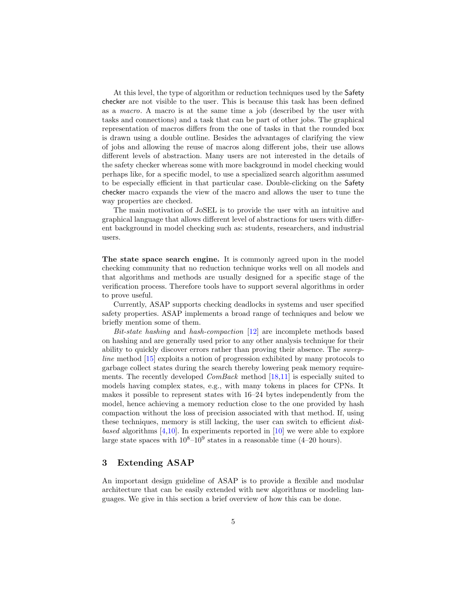At this level, the type of algorithm or reduction techniques used by the Safety checker are not visible to the user. This is because this task has been defined as a macro. A macro is at the same time a job (described by the user with tasks and connections) and a task that can be part of other jobs. The graphical representation of macros differs from the one of tasks in that the rounded box is drawn using a double outline. Besides the advantages of clarifying the view of jobs and allowing the reuse of macros along different jobs, their use allows different levels of abstraction. Many users are not interested in the details of the safety checker whereas some with more background in model checking would perhaps like, for a specific model, to use a specialized search algorithm assumed to be especially efficient in that particular case. Double-clicking on the Safety checker macro expands the view of the macro and allows the user to tune the way properties are checked.

The main motivation of JoSEL is to provide the user with an intuitive and graphical language that allows different level of abstractions for users with different background in model checking such as: students, researchers, and industrial users.

The state space search engine. It is commonly agreed upon in the model checking community that no reduction technique works well on all models and that algorithms and methods are usually designed for a specific stage of the verification process. Therefore tools have to support several algorithms in order to prove useful.

Currently, ASAP supports checking deadlocks in systems and user specified safety properties. ASAP implements a broad range of techniques and below we briefly mention some of them.

Bit-state hashing and hash-compaction  $[12]$  are incomplete methods based on hashing and are generally used prior to any other analysis technique for their ability to quickly discover errors rather than proving their absence. The sweepline method [\[15\]](#page-9-11) exploits a notion of progression exhibited by many protocols to garbage collect states during the search thereby lowering peak memory requirements. The recently developed *ComBack* method [\[18,](#page-9-12)[11\]](#page-9-13) is especially suited to models having complex states, e.g., with many tokens in places for CPNs. It makes it possible to represent states with 16–24 bytes independently from the model, hence achieving a memory reduction close to the one provided by hash compaction without the loss of precision associated with that method. If, using these techniques, memory is still lacking, the user can switch to efficient *disk*based algorithms  $[4,10]$  $[4,10]$ . In experiments reported in [\[10\]](#page-9-15) we were able to explore large state spaces with  $10^8-10^9$  states in a reasonable time (4-20 hours).

### <span id="page-4-0"></span>3 Extending ASAP

An important design guideline of ASAP is to provide a flexible and modular architecture that can be easily extended with new algorithms or modeling languages. We give in this section a brief overview of how this can be done.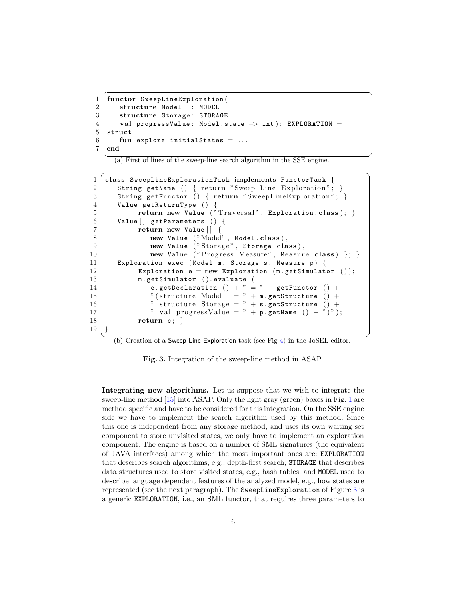```
\overline{a}1 functor SweepLineExploration (
2 Structure Model : MODEL
3 Structure Storage: STORAGE
4 val progressValue: Model state \rightarrow int): EXPLORATION =
5 \vert struct
6 fun explore initialStates = ...
7 end
```
(a) First of lines of the sweep-line search algorithm in the SSE engine.

```
\overline{a} \overline{a} \overline{a} \overline{a} \overline{a} \overline{a} \overline{a} \overline{a} \overline{a} \overline{a} \overline{a} \overline{a} \overline{a} \overline{a} \overline{a} \overline{a} \overline{a} \overline{a} \overline{a} \overline{a} \overline{a} \overline{a} \overline{a} \overline{a} \overline{1 class SweepLineExplorationTask implements FunctorTask {
2 String getName () { return "Sweep Line Exploration"; }
3 String getFunctor () { return "SweepLineExploration"; }
4 Value getReturnType () {
5 return new Value ("Traversal", Exploration.class); }
6 Value \begin{bmatrix} 1 & 0 \\ 0 & 1 \end{bmatrix} getParameters ( ) 07 | return new Value | |
8 | new Value ("Model", Model.class),
9 new Value ("Storage", Storage.class),
10 new Value ("Progress Measure", Measure.class) \}; }
11 | Exploration exec (Model m, Storage s, Measure p) {
12 Exploration e = new Exploration (m.getSimilar);
13 m. getSimulator (). evaluate (
14 e.getDeclaration () + " = " + getFunction () +15 " (structure Model = " + m . getStructure () +
16 " structure Storage = " + s.getStructure () +
17 \vert " val progressValue = " + p.getName () + ")");
18 return e; }
19 }
```
<span id="page-5-1"></span>(b) Creation of a Sweep-Line Exploration task (see Fig [4\)](#page-6-0) in the JoSEL editor.

Fig. 3. Integration of the sweep-line method in ASAP.

<span id="page-5-0"></span>Integrating new algorithms. Let us suppose that we wish to integrate the sweep-line method [\[15\]](#page-9-11) into ASAP. Only the light gray (green) boxes in Fig. [1](#page-2-2) are method specific and have to be considered for this integration. On the SSE engine side we have to implement the search algorithm used by this method. Since this one is independent from any storage method, and uses its own waiting set component to store unvisited states, we only have to implement an exploration component. The engine is based on a number of SML signatures (the equivalent of JAVA interfaces) among which the most important ones are: EXPLORATION that describes search algorithms, e.g., depth-first search; STORAGE that describes data structures used to store visited states, e.g., hash tables; and MODEL used to describe language dependent features of the analyzed model, e.g., how states are represented (see the next paragraph). The SweepLineExploration of Figure [3](#page-5-0) is a generic EXPLORATION, i.e., an SML functor, that requires three parameters to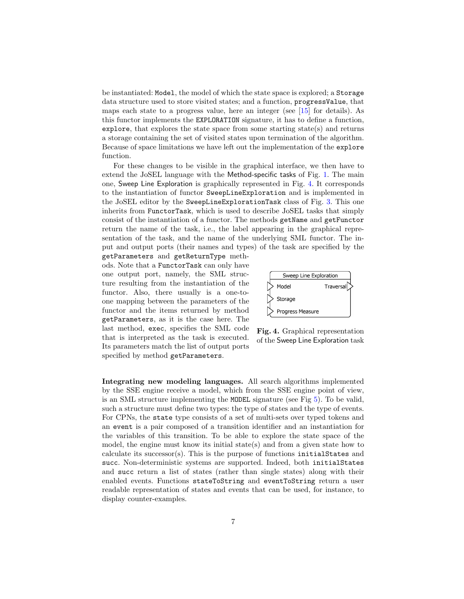be instantiated: Model, the model of which the state space is explored; a Storage data structure used to store visited states; and a function, progressValue, that maps each state to a progress value, here an integer (see [\[15\]](#page-9-11) for details). As this functor implements the EXPLORATION signature, it has to define a function, explore, that explores the state space from some starting state(s) and returns a storage containing the set of visited states upon termination of the algorithm. Because of space limitations we have left out the implementation of the explore function.

For these changes to be visible in the graphical interface, we then have to extend the JoSEL language with the Method-specific tasks of Fig. [1.](#page-2-2) The main one, Sweep Line Exploration is graphically represented in Fig. [4.](#page-6-0) It corresponds to the instantiation of functor SweepLineExploration and is implemented in the JoSEL editor by the SweepLineExplorationTask class of Fig. [3.](#page-5-1) This one inherits from FunctorTask, which is used to describe JoSEL tasks that simply consist of the instantiation of a functor. The methods getName and getFunctor return the name of the task, i.e., the label appearing in the graphical representation of the task, and the name of the underlying SML functor. The input and output ports (their names and types) of the task are specified by the

getParameters and getReturnType methods. Note that a FunctorTask can only have one output port, namely, the SML structure resulting from the instantiation of the functor. Also, there usually is a one-toone mapping between the parameters of the functor and the items returned by method getParameters, as it is the case here. The last method, exec, specifies the SML code that is interpreted as the task is executed. Its parameters match the list of output ports specified by method getParameters.



<span id="page-6-0"></span>Fig. 4. Graphical representation of the Sweep Line Exploration task

Integrating new modeling languages. All search algorithms implemented by the SSE engine receive a model, which from the SSE engine point of view, is an SML structure implementing the MODEL signature (see Fig [5\)](#page-7-1). To be valid, such a structure must define two types: the type of states and the type of events. For CPNs, the state type consists of a set of multi-sets over typed tokens and an event is a pair composed of a transition identifier and an instantiation for the variables of this transition. To be able to explore the state space of the model, the engine must know its initial state(s) and from a given state how to calculate its successor(s). This is the purpose of functions initialStates and succ. Non-deterministic systems are supported. Indeed, both initialStates and succ return a list of states (rather than single states) along with their enabled events. Functions stateToString and eventToString return a user readable representation of states and events that can be used, for instance, to display counter-examples.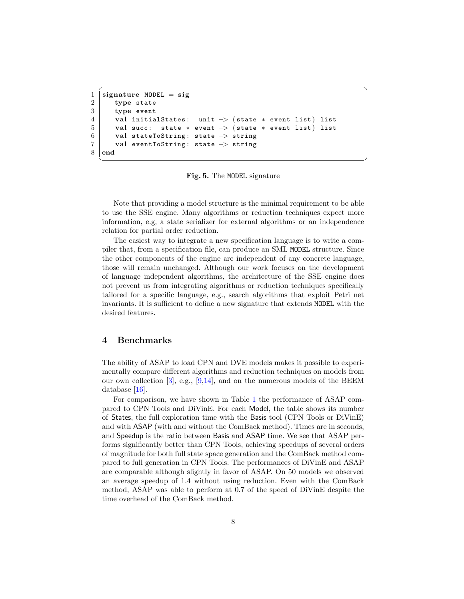```
\sqrt{2}1 signature MODEL = sig2 type state
3 type event
4 val initialStates : unit −> ( state ∗ event list ) list
5 val succ: state * event \rightarrow (state * event list) list
6 val stateToString: state -> string
7 val eventToString: state -> string
8 end
```
<span id="page-7-1"></span>Fig. 5. The MODEL signature

 $\sqrt{2\pi}$   $\sqrt{2\pi}$   $\sqrt{2\pi}$   $\sqrt{2\pi}$   $\sqrt{2\pi}$   $\sqrt{2\pi}$   $\sqrt{2\pi}$   $\sqrt{2\pi}$   $\sqrt{2\pi}$   $\sqrt{2\pi}$   $\sqrt{2\pi}$   $\sqrt{2\pi}$   $\sqrt{2\pi}$   $\sqrt{2\pi}$   $\sqrt{2\pi}$   $\sqrt{2\pi}$   $\sqrt{2\pi}$   $\sqrt{2\pi}$   $\sqrt{2\pi}$   $\sqrt{2\pi}$   $\sqrt{2\pi}$   $\sqrt{2\pi}$ 

Note that providing a model structure is the minimal requirement to be able to use the SSE engine. Many algorithms or reduction techniques expect more information, e.g, a state serializer for external algorithms or an independence relation for partial order reduction.

The easiest way to integrate a new specification language is to write a compiler that, from a specification file, can produce an SML MODEL structure. Since the other components of the engine are independent of any concrete language, those will remain unchanged. Although our work focuses on the development of language independent algorithms, the architecture of the SSE engine does not prevent us from integrating algorithms or reduction techniques specifically tailored for a specific language, e.g., search algorithms that exploit Petri net invariants. It is sufficient to define a new signature that extends MODEL with the desired features.

### <span id="page-7-0"></span>4 Benchmarks

The ability of ASAP to load CPN and DVE models makes it possible to experimentally compare different algorithms and reduction techniques on models from our own collection [\[3\]](#page-9-3), e.g., [\[9](#page-9-16)[,14\]](#page-9-9), and on the numerous models of the BEEM database [\[16\]](#page-9-17).

For comparison, we have shown in Table [1](#page-8-1) the performance of ASAP compared to CPN Tools and DiVinE. For each Model, the table shows its number of States, the full exploration time with the Basis tool (CPN Tools or DiVinE) and with ASAP (with and without the ComBack method). Times are in seconds, and Speedup is the ratio between Basis and ASAP time. We see that ASAP performs significantly better than CPN Tools, achieving speedups of several orders of magnitude for both full state space generation and the ComBack method compared to full generation in CPN Tools. The performances of DiVinE and ASAP are comparable although slightly in favor of ASAP. On 50 models we observed an average speedup of 1.4 without using reduction. Even with the ComBack method, ASAP was able to perform at 0.7 of the speed of DiVinE despite the time overhead of the ComBack method.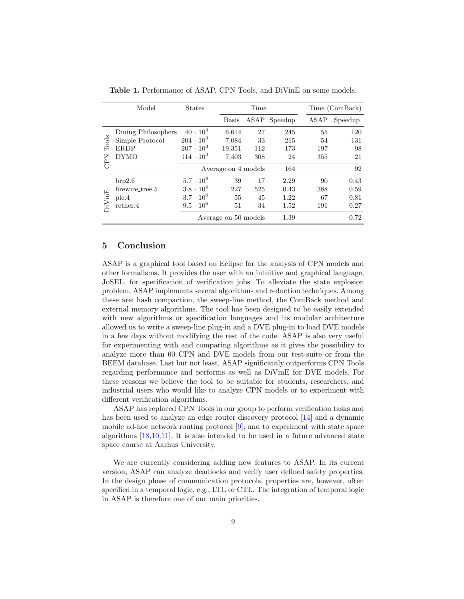|                 | Model               | <b>States</b>        | Time                |      |         | Time (ComBack) |         |
|-----------------|---------------------|----------------------|---------------------|------|---------|----------------|---------|
|                 |                     |                      | <b>Basis</b>        | ASAP | Speedup | ASAP           | Speedup |
| Tools<br>z<br>용 | Dining Philosophers | $40 \cdot 10^3$      | 6,614               | 27   | 245     | 55             | 120     |
|                 | Simple Protocol     | $204 \cdot 10^3$     | 7,084               | 33   | 215     | 54             | 131     |
|                 | <b>ERDP</b>         | $207 \cdot 10^3$     | 19,351              | 112  | 173     | 197            | 98      |
|                 | <b>DYMO</b>         | $114 \cdot 10^{3}$   | 7.403               | 308  | 24      | 355            | 21      |
|                 |                     |                      | Average on 4 models |      | 164     |                | 92      |
| DivimE          | brp2.6              | $5.7 \cdot 10^6$     | 39                  | 17   | 2.29    | 90             | 0.43    |
|                 | firewire_tree.5     | $3.8 \cdot 10^{6}$   | 227                 | 525  | 0.43    | 388            | 0.59    |
|                 | plc.4               | $3.7 \cdot 10^6$     | 55                  | 45   | 1.22    | 67             | 0.81    |
|                 | rether.4            | $9.5 \cdot 10^6$     | 51                  | 34   | 1.52    | 191            | 0.27    |
|                 |                     | Average on 50 models |                     |      | 1.39    |                | 0.72    |

<span id="page-8-1"></span>Table 1. Performance of ASAP, CPN Tools, and DiVinE on some models.

## <span id="page-8-0"></span>5 Conclusion

ASAP is a graphical tool based on Eclipse for the analysis of CPN models and other formalisms. It provides the user with an intuitive and graphical language, JoSEL, for specification of verification jobs. To alleviate the state explosion problem, ASAP implements several algorithms and reduction techniques. Among these are: hash compaction, the sweep-line method, the ComBack method and external memory algorithms. The tool has been designed to be easily extended with new algorithms or specification languages and its modular architecture allowed us to write a sweep-line plug-in and a DVE plug-in to load DVE models in a few days without modifying the rest of the code. ASAP is also very useful for experimenting with and comparing algorithms as it gives the possibility to analyze more than 60 CPN and DVE models from our test-suite or from the BEEM database. Last but not least, ASAP significantly outperforms CPN Tools regarding performance and performs as well as DiVinE for DVE models. For these reasons we believe the tool to be suitable for students, researchers, and industrial users who would like to analyze CPN models or to experiment with different verification algorithms.

ASAP has replaced CPN Tools in our group to perform verification tasks and has been used to analyze an edge router discovery protocol [\[14\]](#page-9-9) and a dynamic mobile ad-hoc network routing protocol [\[9\]](#page-9-16); and to experiment with state space algorithms  $[18,10,11]$  $[18,10,11]$  $[18,10,11]$ . It is also intended to be used in a future advanced state space course at Aarhus University.

We are currently considering adding new features to ASAP. In its current version, ASAP can analyze deadlocks and verify user defined safety properties. In the design phase of communication protocols, properties are, however, often specified in a temporal logic, e.g., LTL or CTL. The integration of temporal logic in ASAP is therefore one of our main priorities.